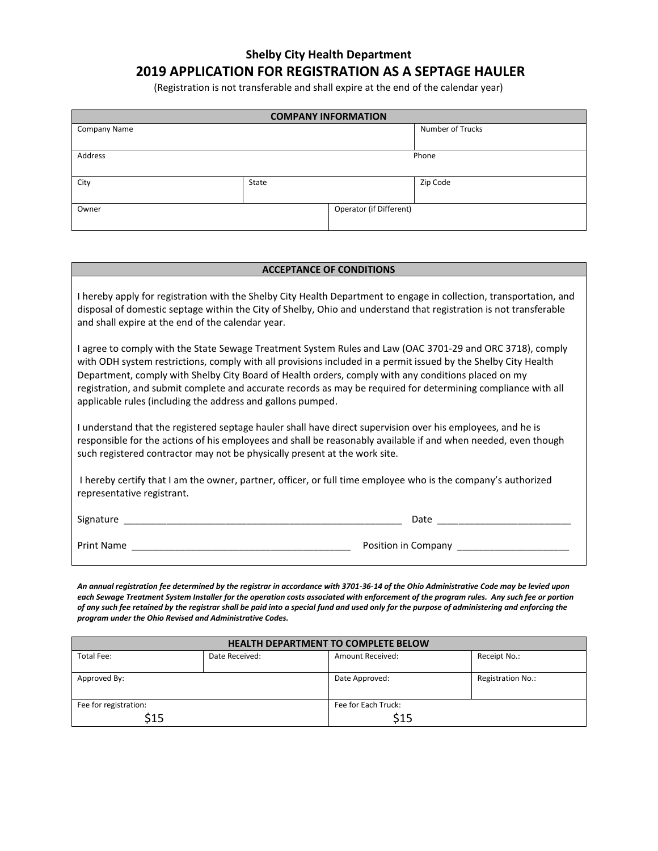## **Shelby City Health Department 2019 APPLICATION FOR REGISTRATION AS A SEPTAGE HAULER**

(Registration is not transferable and shall expire at the end of the calendar year)

| <b>COMPANY INFORMATION</b> |       |                         |                  |  |  |  |  |
|----------------------------|-------|-------------------------|------------------|--|--|--|--|
| Company Name               |       |                         | Number of Trucks |  |  |  |  |
|                            |       |                         |                  |  |  |  |  |
| Address                    |       | Phone                   |                  |  |  |  |  |
|                            |       |                         |                  |  |  |  |  |
| City                       | State |                         | Zip Code         |  |  |  |  |
|                            |       |                         |                  |  |  |  |  |
| Owner                      |       | Operator (if Different) |                  |  |  |  |  |
|                            |       |                         |                  |  |  |  |  |

| <b>ACCEPTANCE OF CONDITIONS</b>                                                                                                                                                                                                                                                                                                                                                                                                                                                                                    |  |  |  |  |  |
|--------------------------------------------------------------------------------------------------------------------------------------------------------------------------------------------------------------------------------------------------------------------------------------------------------------------------------------------------------------------------------------------------------------------------------------------------------------------------------------------------------------------|--|--|--|--|--|
| I hereby apply for registration with the Shelby City Health Department to engage in collection, transportation, and<br>disposal of domestic septage within the City of Shelby, Ohio and understand that registration is not transferable<br>and shall expire at the end of the calendar year.                                                                                                                                                                                                                      |  |  |  |  |  |
| I agree to comply with the State Sewage Treatment System Rules and Law (OAC 3701-29 and ORC 3718), comply<br>with ODH system restrictions, comply with all provisions included in a permit issued by the Shelby City Health<br>Department, comply with Shelby City Board of Health orders, comply with any conditions placed on my<br>registration, and submit complete and accurate records as may be required for determining compliance with all<br>applicable rules (including the address and gallons pumped. |  |  |  |  |  |
| I understand that the registered septage hauler shall have direct supervision over his employees, and he is<br>responsible for the actions of his employees and shall be reasonably available if and when needed, even though<br>such registered contractor may not be physically present at the work site.                                                                                                                                                                                                        |  |  |  |  |  |
| I hereby certify that I am the owner, partner, officer, or full time employee who is the company's authorized<br>representative registrant.                                                                                                                                                                                                                                                                                                                                                                        |  |  |  |  |  |
|                                                                                                                                                                                                                                                                                                                                                                                                                                                                                                                    |  |  |  |  |  |
| Print Name<br>Position in Company <b>Example 20</b>                                                                                                                                                                                                                                                                                                                                                                                                                                                                |  |  |  |  |  |

*An annual registration fee determined by the registrar in accordance with 3701-36-14 of the Ohio Administrative Code may be levied upon each Sewage Treatment System Installer for the operation costs associated with enforcement of the program rules. Any such fee or portion of any such fee retained by the registrar shall be paid into a special fund and used only for the purpose of administering and enforcing the program under the Ohio Revised and Administrative Codes.*

| <b>HEALTH DEPARTMENT TO COMPLETE BELOW</b> |                |                         |                   |  |  |  |  |
|--------------------------------------------|----------------|-------------------------|-------------------|--|--|--|--|
| Total Fee:                                 | Date Received: | <b>Amount Received:</b> | Receipt No.:      |  |  |  |  |
|                                            |                |                         |                   |  |  |  |  |
| Approved By:                               |                | Date Approved:          | Registration No.: |  |  |  |  |
|                                            |                |                         |                   |  |  |  |  |
| Fee for registration:                      |                | Fee for Each Truck:     |                   |  |  |  |  |
| \$15                                       |                | \$15                    |                   |  |  |  |  |